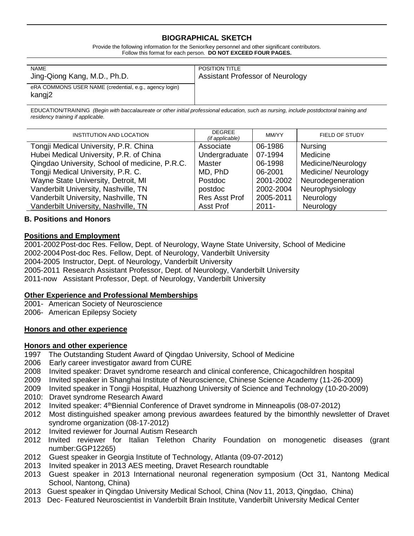## **BIOGRAPHICAL SKETCH**

Provide the following information for the Senior/key personnel and other significant contributors. Follow this format for each person. **DO NOT EXCEED FOUR PAGES.**

| <b>NAME</b>                                                      | <b>POSITION TITLE</b>                   |
|------------------------------------------------------------------|-----------------------------------------|
| Jing-Qiong Kang, M.D., Ph.D.                                     | <b>Assistant Professor of Neurology</b> |
| eRA COMMONS USER NAME (credential, e.g., agency login)<br>kangj2 |                                         |

EDUCATION/TRAINING *(Begin with baccalaureate or other initial professional education, such as nursing, include postdoctoral training and residency training if applicable.*

| <b>INSTITUTION AND LOCATION</b>                | <b>DEGREE</b><br>(if applicable) | MM/YY     | FIELD OF STUDY             |
|------------------------------------------------|----------------------------------|-----------|----------------------------|
| Tongji Medical University, P.R. China          | Associate                        | 06-1986   | <b>Nursing</b>             |
| Hubei Medical University, P.R. of China        | Undergraduate                    | 07-1994   | Medicine                   |
| Qingdao University, School of medicine, P.R.C. | Master                           | 06-1998   | Medicine/Neurology         |
| Tongji Medical University, P.R. C.             | MD, PhD                          | 06-2001   | <b>Medicine/ Neurology</b> |
| Wayne State University, Detroit, MI            | Postdoc                          | 2001-2002 | Neurodegeneration          |
| Vanderbilt University, Nashville, TN           | postdoc                          | 2002-2004 | Neurophysiology            |
| Vanderbilt University, Nashville, TN           | <b>Res Asst Prof</b>             | 2005-2011 | Neurology                  |
| Vanderbilt University, Nashville, TN           | Asst Prof                        | $2011 -$  | Neurology                  |

## **B. Positions and Honors**

#### **Positions and Employment**

2001-2002Post-doc Res. Fellow, Dept. of Neurology, Wayne State University, School of Medicine 2002-2004Post-doc Res. Fellow, Dept. of Neurology, Vanderbilt University 2004-2005 Instructor, Dept. of Neurology, Vanderbilt University 2005-2011 Research Assistant Professor, Dept. of Neurology, Vanderbilt University 2011-now Assistant Professor, Dept. of Neurology, Vanderbilt University

#### **Other Experience and Professional Memberships**

2001- American Society of Neuroscience 2006- American Epilepsy Society

#### **Honors and other experience**

# **Honors and other experience**

The Outstanding Student Award of Qingdao University, School of Medicine

- 2006 Early career investigator award from CURE
- 2008 Invited speaker: Dravet syndrome research and clinical conference, Chicagochildren hospital
- 2009 Invited speaker in Shanghai Institute of Neuroscience, Chinese Science Academy (11-26-2009)
- 2009 Invited speaker in Tongji Hospital, Huazhong University of Science and Technology (10-20-2009)
- 2010: Dravet syndrome Research Award
- 2012 Invited speaker: 4thBiennial Conference of Dravet syndrome in Minneapolis (08-07-2012)
- 2012 Most distinguished speaker among previous awardees featured by the bimonthly newsletter of Dravet syndrome organization (08-17-2012)
- 2012 Invited reviewer for Journal Autism Research
- 2012 Invited reviewer for Italian Telethon Charity Foundation on monogenetic diseases (grant number:GGP12265)
- 2012 Guest speaker in Georgia Institute of Technology, Atlanta (09-07-2012)
- 2013 Invited speaker in 2013 AES meeting, Dravet Research roundtable
- 2013 Guest speaker in 2013 International neuronal regeneration symposium (Oct 31, Nantong Medical School, Nantong, China)
- 2013 Guest speaker in Qingdao University Medical School, China (Nov 11, 2013, Qingdao, China)
- 2013 Dec- Featured Neuroscientist in Vanderbilt Brain Institute, Vanderbilt University Medical Center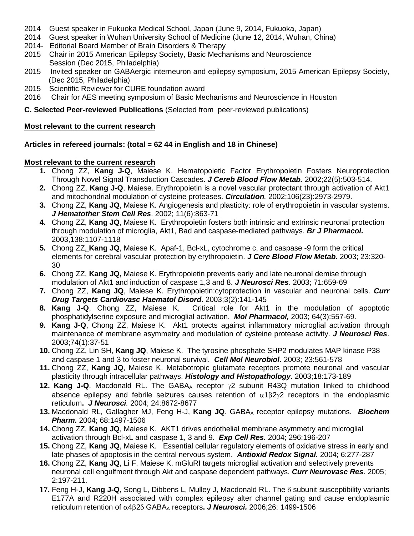- 2014 Guest speaker in Fukuoka Medical School, Japan (June 9, 2014, Fukuoka, Japan)
- 2014 Guest speaker in Wuhan University School of Medicine (June 12, 2014, Wuhan, China)
- 2014- Editorial Board Member of Brain Disorders & Therapy
- 2015 Chair in 2015 American Epilepsy Society, Basic Mechanisms and Neuroscience Session (Dec 2015, Philadelphia)
- 2015 Invited speaker on GABAergic interneuron and epilepsy symposium, 2015 American Epilepsy Society, (Dec 2015, Philadelphia)
- 2015 Scientific Reviewer for CURE foundation award<br>2016 Chair for AES meeting symposium of Basic Mee
- 2016 Chair for AES meeting symposium of Basic Mechanisms and Neuroscience in Houston

**C. Selected Peer-reviewed Publications** (Selected from peer-reviewed publications)

#### **Most relevant to the current research**

## **Articles in refereed journals: (total = 62 44 in English and 18 in Chinese)**

## **Most relevant to the current research**

- **1.** Chong ZZ, **Kang J-Q**, Maiese K. Hematopoietic Factor Erythropoietin Fosters Neuroprotection Through Novel Signal Transduction Cascades. *J Cereb Blood Flow Metab.* 2002;22(5):503-514.
- **2.** Chong ZZ, **Kang J-Q**, Maiese. Erythropoietin is a novel vascular protectant through activation of Akt1 and mitochondrial modulation of cysteine proteases. *Circulation.* 2002;106(23):2973-2979.
- **3.** Chong ZZ, **Kang JQ**, Maiese K. Angiogenesis and plasticity: role of erythropoietin in vascular systems. *J Hematother Stem Cell Res*. 2002; 11(6):863-71
- **4.** Chong ZZ, **Kang JQ**, Maiese K. Erythropoietin fosters both intrinsic and extrinsic neuronal protection through modulation of microglia, Akt1, Bad and caspase-mediated pathways. *Br J Pharmacol.* 2003,138:1107-1118
- **5.** Chong ZZ, **Kang JQ**, Maiese K. Apaf-1, Bcl-xL, cytochrome c, and caspase -9 form the critical elements for cerebral vascular protection by erythropoietin. *J Cere Blood Flow Metab.* 2003; 23:320- 30
- **6.** Chong ZZ, **Kang JQ,** Maiese K. Erythropoietin prevents early and late neuronal demise through modulation of Akt1 and induction of caspase 1,3 and 8. *J Neurosci Res*. 2003; 71:659-69
- **7.** Chong ZZ, **Kang JQ**, Maiese K. Erythropoietin:cytoprotection in vascular and neuronal cells. *Curr Drug Targets Cardiovasc Haematol Disord*. 2003;3(2):141-145
- **8.** Critical role for Akt1 in the modulation of apoptotic phosphatidylserine exposure and microglial activation. *Mol Pharmacol,* 2003; 64(3):557-69.
- **9. Kang J-Q**, Chong ZZ, Maiese K. Akt1 protects against inflammatory microglial activation through maintenance of membrane asymmetry and modulation of cysteine protease activity. *J Neurosci Res*. 2003;74(1):37-51
- **10.** Chong ZZ, Lin SH, **Kang JQ**, Maiese K. The tyrosine phosphate SHP2 modulates MAP kinase P38 and caspase 1 and 3 to foster neuronal survival. *Cell Mol Neurobiol*. 2003; 23:561-578
- **11.** Chong ZZ, **Kang JQ**, Maiese K. Metabotropic glutamate receptors promote neuronal and vascular plasticity through intracellular pathways. *Histology and Histopathology*. 2003;18:173-189
- **12. Kang J-Q**, Macdonald RL. The GABA<sub>A</sub> receptor γ2 subunit R43Q mutation linked to childhood absence epilepsy and febrile seizures causes retention of  $\alpha$ 1 $\beta$ 2 $\gamma$ 2 receptors in the endoplasmic reticulum**.** *J Neurosci.* 2004; 24:8672-8677
- 13. Macdonald RL, Gallagher MJ, Feng H-J, Kang JQ. GABA<sub>A</sub> receptor epilepsy mutations. *Biochem Pharm.* 2004; 68:1497-1506
- **14.** Chong ZZ, **Kang JQ**, Maiese K. AKT1 drives endothelial membrane asymmetry and microglial activation through Bcl-xL and caspase 1, 3 and 9. *Exp Cell Res.* 2004; 296:196-207
- **15.** Chong ZZ, **Kang JQ**, Maiese K. Essential cellular regulatory elements of oxidative stress in early and late phases of apoptosis in the central nervous system. *Antioxid Redox Signal.* 2004; 6:277-287
- **16.** Chong ZZ, **Kang JQ**, Li F, Maiese K. mGluRI targets microglial activation and selectively prevents neuronal cell engulfment through Akt and caspase dependent pathways. *Curr Neurovasc Res*. 2005; 2:197-211.
- **17.** Feng H-J, **Kang J-Q,** Song L, Dibbens L, Mulley J, Macdonald RL. The δ subunit susceptibility variants E177A and R220H associated with complex epilepsy alter channel gating and cause endoplasmic reticulum retention of α4β2δ GABAA receptors**.** *J Neurosci.* 2006;26: 1499-1506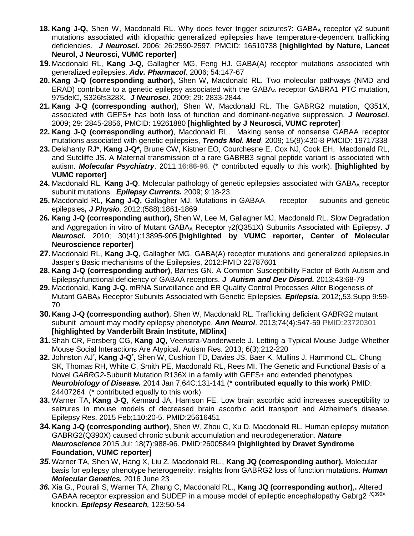- **18. Kang J-Q,** Shen W, Macdonald RL. Why does fever trigger seizures?: GABAA receptor γ2 subunit mutations associated with idiopathic generalized epilepsies have temperature-dependent trafficking deficiencies. *J Neurosci.* 2006; 26:2590-2597, PMCID: 16510738 **[highlighted by Nature, Lancet Neurol, J Neurosci, VUMC reporter]**
- **19.**Macdonald RL, **Kang J-Q**, Gallagher MG, Feng HJ. GABA(A) receptor mutations associated with generalized epilepsies. *Adv. Pharmacol*. 2006; 54:147-67
- **20. Kang J-Q (corresponding author),** Shen W, Macdonald RL. Two molecular pathways (NMD and ERAD) contribute to a genetic epilepsy associated with the GABAA receptor GABRA1 PTC mutation, 975delC, S326fs328X*. J Neurosci*. 2009; 29: 2833-2844.
- **21. Kang J-Q (corresponding author)**, Shen W, Macdonald RL. The GABRG2 mutation, Q351X, associated with GEFS+ has both loss of function and dominant-negative suppression. *J Neurosci*. 2009; 29: 2845-2856, PMCID: 19261880 **[highlighted by J Neurosci, VUMC reproter]**
- **22. Kang J-Q (corresponding author)**, Macdonald RL. Making sense of nonsense GABAA receptor mutations associated with genetic epilepsies, *Trends Mol. Med*. 2009; 15(9):430-8 PMCID: 19717338
- **23.** Delahanty RJ\*, **Kang J-Q\*,** Brune CW, Kistner EO, Courchesne E, Cox NJ, Cook EH, Macdonald RL, and Sutcliffe JS. A Maternal transmission of a rare GABRB3 signal peptide variant is associated with autism. *Molecular Psychiatry*. 2011;**16:86-96**. (\* contributed equally to this work). **[highlighted by VUMC reporter]**
- **24.** Macdonald RL, Kang J-Q. Molecular pathology of genetic epilepsies associated with GABA<sub>A</sub> receptor subunit mutations. *Epilepsy Currents.* 2009; 9:18-23.
- **25.** Macdonald RL, **Kang J-Q,** Gallagher MJ. Mutations in GABAA receptor subunits and genetic epilepsies*, J Physio*. 2012;(588):1861-1869
- **26. Kang J-Q (corresponding author),** Shen W, Lee M, Gallagher MJ, Macdonald RL. Slow Degradation and Aggregation in vitro of Mutant GABAA Receptor γ2(Q351X) Subunits Associated with Epilepsy. *J Neurosci.* 2010; 30(41):13895-905.**[highlighted by VUMC reporter, Center of Molecular Neuroscience reporter]**
- **27.**Macdonald RL, **Kang J-Q**, Gallagher MG. GABA(A) receptor mutations and generalized epilepsies.in Jasper's Basic mechanisms of the Epilepsies, 2012:PMID 22787601
- **28. Kang J-Q (corresponding author)**, Barnes GN. A Common Susceptibility Factor of Both Autism and Epilepsy:functional deficiency of GABAA receptors. *J Autism and Dev Disord.* 2013;43:68-79
- **29.** Macdonald, **Kang J-Q.** mRNA Surveillance and ER Quality Control Processes Alter Biogenesis of Mutant GABAA Receptor Subunits Associated with Genetic Epilepsies. *Epilepsia*. 2012;,53.Supp 9:59- 70
- **30.Kang J-Q (corresponding author)**, Shen W, Macdonald RL. Trafficking deficient GABRG2 mutant subunit amount may modify epilepsy phenotype. *Ann Neurol*. 2013;74(4):547-59 PMID:23720301 **[highlighted by Vanderbilt Brain Institute, MDlinx]**
- **31.**Shah CR, Forsberg CG, **Kang JQ**, Veenstra-Vanderweele J. [Letting a Typical Mouse Judge Whether](http://www.ncbi.nlm.nih.gov/pubmed/23436806)  [Mouse Social Interactions Are Atypical.](http://www.ncbi.nlm.nih.gov/pubmed/23436806) Autism Res. 2013; 6(3):212-220
- **32.** Johnston AJ\* , **Kang J-Q\* ,** Shen W, Cushion TD, Davies JS, Baer K, Mullins J, Hammond CL, Chung SK, Thomas RH, White C, Smith PE, Macdonald RL, Rees MI. The Genetic and Functional Basis of a Novel *GABRG2*-Subunit Mutation R136X in a family with GEFS+ and extended phenotypes. *Neurobiology of Disease.* 2014 Jan 7;64C:131-141 (\* **contributed equally to this work**) PMID: 24407264 (\* contributed equally to this work)
- **33.** Warner TA, **Kang J-Q**, Kennard JA, Harrison FE. Low brain ascorbic acid increases susceptibility to seizures in mouse models of decreased brain ascorbic acid transport and Alzheimer's disease. Epilepsy Res. 2015 Feb;110:20-5. PMID:25616451
- **34.Kang J-Q (corresponding author)**, Shen W, Zhou C, Xu D, Macdonald RL. Human epilepsy mutation GABRG2(Q390X) caused chronic subunit accumulation and neurodegeneration. *Nature Neuroscience* 2015 Jul; 18(7):988-96. PMID:26005849 **[highlighted by Dravet Syndrome Foundation, VUMC reporter]**
- *35.*Warner TA, Shen W, Hang X, Liu Z, Macdonald RL., **Kang JQ (corresponding author).** Molecular basis for epilepsy phenotype heterogeneity: insights from GABRG2 loss of function mutations. *Human Molecular Genetics.* 2016 June 23
- *36.* Xia G., Pourali S, Warner TA, Zhang C, Macdonald RL., **Kang JQ (corresponding author)**,**.** Altered GABAA receptor expression and SUDEP in a mouse model of epileptic encephalopathy Gabrg2<sup>+/Q390X</sup> knockin. *Epilepsy Research,* 123:50-54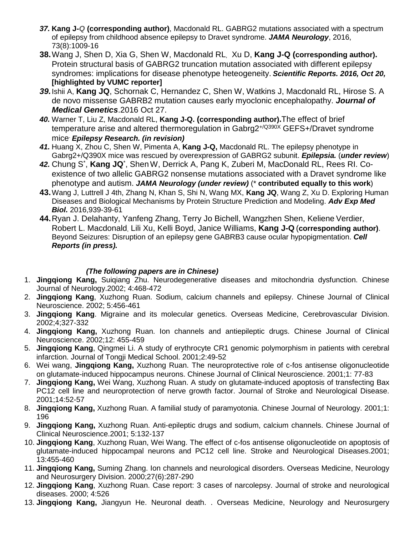- *37.* **Kang J-***Q* **(corresponding author)**, Macdonald RL. GABRG2 mutations associated with a spectrum of epilepsy from childhood absence epilepsy to Dravet syndrome. *JAMA Neurology*, 2016, 73(8):1009-16
- **38.**Wang J, Shen D, Xia G, Shen W, Macdonald RL, Xu D, **Kang J-Q (corresponding author).**  Protein structural basis of GABRG2 truncation mutation associated with different epilepsy syndromes: implications for disease phenotype heteogeneity. *Scientific Reports. 2016, Oct 20,*  **[highlighted by VUMC reporter]**
- *39.*Ishii A, **Kang JQ**, Schornak C, Hernandez C, Shen W, Watkins J, Macdonald RL, Hirose S. A de novo missense GABRB2 mutation causes early myoclonic encephalopathy. *Journal of Medical Genetics*.2016 Oct 27.
- *40.* Warner T, Liu Z, Macdonald RL, **Kang J-Q. (corresponding author).**The effect of brief temperature arise and altered thermoregulation in Gabrg2<sup>+/Q390X</sup> GEFS+/Dravet syndrome mice. *Epilepsy Research. (in revision)*
- *41.* Huang X, Zhou C, Shen W, Pimenta A, **Kang J-Q,** Macdonald RL. The epilepsy phenotype in Gabrg2+/Q390X mice was rescued by overexpression of GABRG2 subunit. *Epilepsia.* (*under review*)
- *42.* Chung S\* , **Kang JQ**\* , ShenW, Derrick A, Pang K, Zuberi M, MacDonald RL, Rees RI. Coexistence of two allelic GABRG2 nonsense mutations associated with a Dravet syndrome like phenotype and autism. *JAMA Neurology (under review)* (\* **contributed equally to this work**)
- **43.**Wang J, Luttrell J 4th, Zhang N, Khan S, Shi N, Wang MX, **Kang JQ**, Wang Z, Xu D. [Exploring Human](https://www.ncbi.nlm.nih.gov/pubmed/27807743)  [Diseases and Biological Mechanisms by Protein Structure Prediction and Modeling.](https://www.ncbi.nlm.nih.gov/pubmed/27807743) *Adv Exp Med Biol.* 2016,939-39-61
- **44.**Ryan J. Delahanty, Yanfeng Zhang, Terry Jo Bichell, Wangzhen Shen, Keliene Verdier, Robert L. Macdonald, Lili Xu, Kelli Boyd, Janice Williams, **Kang J-Q** (**corresponding author)**. Beyond Seizures: Disruption of an epilepsy gene GABRB3 cause ocular hypopigmentation. *Cell Reports (in press).*

# *(The following papers are in Chinese)*

- 1. **Jingqiong Kang,** Suiqiang Zhu. Neurodegenerative diseases and mitochondria dysfunction. Chinese Journal of Neurology.2002; 4:468-472
- 2. **Jingqiong Kang**, Xuzhong Ruan. Sodium, calcium channels and epilepsy. Chinese Journal of Clinical Neuroscience. 2002; 5:456-461
- 3. **Jingqiong Kang**. Migraine and its molecular genetics. Overseas Medicine, Cerebrovascular Division. 2002;4;327-332
- 4. **Jingqiong Kang,** Xuzhong Ruan. Ion channels and antiepileptic drugs. Chinese Journal of Clinical Neuroscience. 2002;12: 455-459
- 5. **Jingqiong Kang**, Qingmei Li. A study of erythrocyte CR1 genomic polymorphism in patients with cerebral infarction. Journal of Tongji Medical School. 2001;2:49-52
- 6. Wei wang, **Jingqiong Kang,** Xuzhong Ruan. The neuroprotective role of c-fos antisense oligonucleotide on glutamate-induced hippocampus neurons. Chinese Journal of Clinical Neuroscience. 2001;1: 77-83
- 7. **Jingqiong Kang,** Wei Wang, Xuzhong Ruan. A study on glutamate-induced apoptosis of transfecting Bax PC12 cell line and neuroprotection of nerve growth factor. Journal of Stroke and Neurological Disease. 2001;14:52-57
- 8. **Jingqiong Kang,** Xuzhong Ruan. A familial study of paramyotonia. Chinese Journal of Neurology. 2001;1: 196
- 9. **Jingqiong Kang,** Xuzhong Ruan. Anti-epileptic drugs and sodium, calcium channels. Chinese Journal of Clinical Neuroscience.2001; 5:132-137
- 10. **Jingqiong Kang**, Xuzhong Ruan, Wei Wang. The effect of c-fos antisense oligonucleotide on apoptosis of glutamate-induced hippocampal neurons and PC12 cell line. Stroke and Neurological Diseases.2001; 13:455-460
- 11. **Jingqiong Kang,** Suming Zhang. Ion channels and neurological disorders. Overseas Medicine, Neurology and Neurosurgery Division. 2000;27(6):287-290
- 12. **Jingqiong Kang**, Xuzhong Ruan. Case report: 3 cases of narcolepsy. Journal of stroke and neurological diseases. 2000; 4:526
- 13. **Jingqiong Kang,** Jiangyun He. Neuronal death. . Overseas Medicine, Neurology and Neurosurgery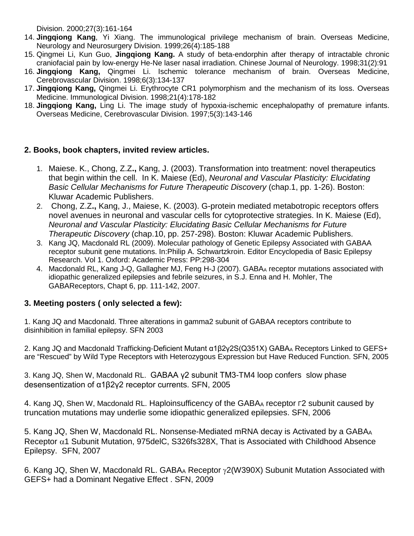Division. 2000;27(3):161-164

- 14. **Jingqiong Kang**, Yi Xiang. The immunological privilege mechanism of brain. Overseas Medicine, Neurology and Neurosurgery Division. 1999;26(4):185-188
- 15. Qingmei Li, Kun Guo, **Jingqiong Kang.** A study of beta-endorphin after therapy of intractable chronic craniofacial pain by low-energy He-Ne laser nasal irradiation. Chinese Journal of Neurology. 1998;31(2):91
- 16. **Jingqiong Kang,** Qingmei Li. Ischemic tolerance mechanism of brain. Overseas Medicine, Cerebrovascular Division. 1998;6(3):134-137
- 17. **Jingqiong Kang,** Qingmei Li. Erythrocyte CR1 polymorphism and the mechanism of its loss. Overseas Medicine. Immunological Division. 1998;21(4):178-182
- 18. **Jingqiong Kang,** Ling Li. The image study of hypoxia-ischemic encephalopathy of premature infants. Overseas Medicine, Cerebrovascular Division. 1997;5(3):143-146

# **2. Books, book chapters, invited review articles.**

- 1. Maiese. K., Chong, Z.Z**.,** Kang, J. (2003). Transformation into treatment: novel therapeutics that begin within the cell. In K. Maiese (Ed), *Neuronal and Vascular Plasticity: Elucidating Basic Cellular Mechanisms for Future Therapeutic Discovery* (chap.1, pp. 1-26). Boston: Kluwar Academic Publishers.
- 2. Chong, Z.Z**.,** Kang, J., Maiese, K. (2003). G-protein mediated metabotropic receptors offers novel avenues in neuronal and vascular cells for cytoprotective strategies. In K. Maiese (Ed), *Neuronal and Vascular Plasticity: Elucidating Basic Cellular Mechanisms for Future Therapeutic Discovery* (chap.10, pp. 257-298). Boston: Kluwar Academic Publishers.
- 3. Kang JQ, Macdonald RL (2009). Molecular pathology of Genetic Epilepsy Associated with GABAA receptor subunit gene mutations. In:Philip A. Schwartzkroin. Editor Encyclopedia of Basic Epilepsy Research. Vol 1. Oxford: Academic Press: PP:298-304
- 4. Macdonald RL, Kang J-Q, Gallagher MJ, Feng H-J (2007). GABA<sub>A</sub> receptor mutations associated with idiopathic generalized epilepsies and febrile seizures, in S.J. Enna and H. Mohler, The GABAReceptors, Chapt 6, pp. 111-142, 2007.

# **3. Meeting posters ( only selected a few):**

1. Kang JQ and Macdonald. Three alterations in gamma2 subunit of GABAA receptors contribute to disinhibition in familial epilepsy. SFN 2003

2. Kang JQ and Macdonald Trafficking-Deficient Mutant α1β2γ2S(Q351X) GABA<sub>A</sub> Receptors Linked to GEFS+ are "Rescued" by Wild Type Receptors with Heterozygous Expression but Have Reduced Function. SFN, 2005

3. Kang JQ, Shen W, Macdonald RL. GABAA γ2 subunit TM3-TM4 loop confers slow phase desensentization of α1β2γ2 receptor currents. SFN, 2005

4. Kang JQ, Shen W, Macdonald RL. Haploinsufficency of the GABAA receptor Γ2 subunit caused by truncation mutations may underlie some idiopathic generalized epilepsies. SFN, 2006

5. Kang JQ, Shen W, Macdonald RL. Nonsense-Mediated mRNA decay is Activated by a GABAA Receptor  $\alpha$ 1 Subunit Mutation, 975delC, S326fs328X, That is Associated with Childhood Absence Epilepsy. SFN, 2007

6. Kang JQ, Shen W, Macdonald RL. GABAA Receptor γ2(W390X) Subunit Mutation Associated with GEFS+ had a Dominant Negative Effect . SFN, 2009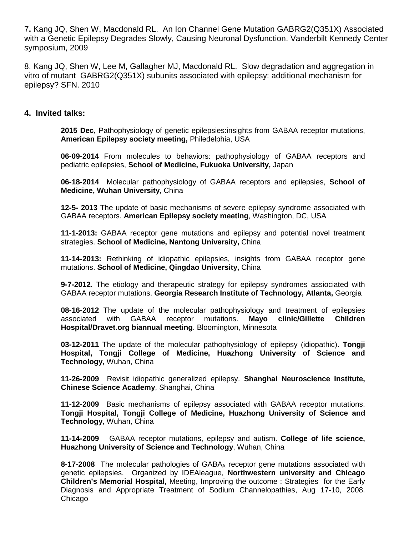7**.** Kang JQ, Shen W, Macdonald RL. An Ion Channel Gene Mutation GABRG2(Q351X) Associated with a Genetic Epilepsy Degrades Slowly, Causing Neuronal Dysfunction. Vanderbilt Kennedy Center symposium, 2009

8. Kang JQ, Shen W, Lee M, Gallagher MJ, Macdonald RL. Slow degradation and aggregation in vitro of mutant GABRG2(Q351X) subunits associated with epilepsy: additional mechanism for epilepsy? SFN. 2010

# **4. Invited talks:**

**2015 Dec,** Pathophysiology of genetic epilepsies:insights from GABAA receptor mutations, **American Epilepsy society meeting,** Philedelphia, USA

**06-09-2014** From molecules to behaviors: pathophysiology of GABAA receptors and pediatric epilepsies, **School of Medicine, Fukuoka University,** Japan

**06-18-2014** Molecular pathophysiology of GABAA receptors and epilepsies, **School of Medicine, Wuhan University,** China

**12-5- 2013** The update of basic mechanisms of severe epilepsy syndrome associated with GABAA receptors. **American Epilepsy society meeting**, Washington, DC, USA

**11-1-2013:** GABAA receptor gene mutations and epilepsy and potential novel treatment strategies. **School of Medicine, Nantong University,** China

**11-14-2013:** Rethinking of idiopathic epilepsies, insights from GABAA receptor gene mutations. **School of Medicine, Qingdao University,** China

**9-7-2012.** The etiology and therapeutic strategy for epilepsy syndromes assiociated with GABAA receptor mutations. **Georgia Research Institute of Technology, Atlanta,** Georgia

**08-16-2012** The update of the molecular pathophysiology and treatment of epilepsies associated with GABAA receptor mutations. **Mayo clinic/Gillette Children** associated with GABAA receptor mutations. **Mayo clinic/Gillette Children Hospital/Dravet.org biannual meeting**. Bloomington, Minnesota

**03-12-2011** The update of the molecular pathophysiology of epilepsy (idiopathic). **Tongji Hospital, Tongji College of Medicine, Huazhong University of Science and Technology,** Wuhan, China

**11-26-2009** Revisit idiopathic generalized epilepsy. **Shanghai Neuroscience Institute, Chinese Science Academy**, Shanghai, China

**11-12-2009** Basic mechanisms of epilepsy associated with GABAA receptor mutations. **Tongji Hospital, Tongji College of Medicine, Huazhong University of Science and Technology**, Wuhan, China

**11-14-2009** GABAA receptor mutations, epilepsy and autism. **College of life science, Huazhong University of Science and Technology**, Wuhan, China

**8-17-2008** The molecular pathologies of GABA<sub>A</sub> receptor gene mutations associated with genetic epilepsies. Organized by IDEAleague, **Northwestern university and Chicago Children's Memorial Hospital,** Meeting, Improving the outcome : Strategies for the Early Diagnosis and Appropriate Treatment of Sodium Channelopathies, Aug 17-10, 2008. Chicago